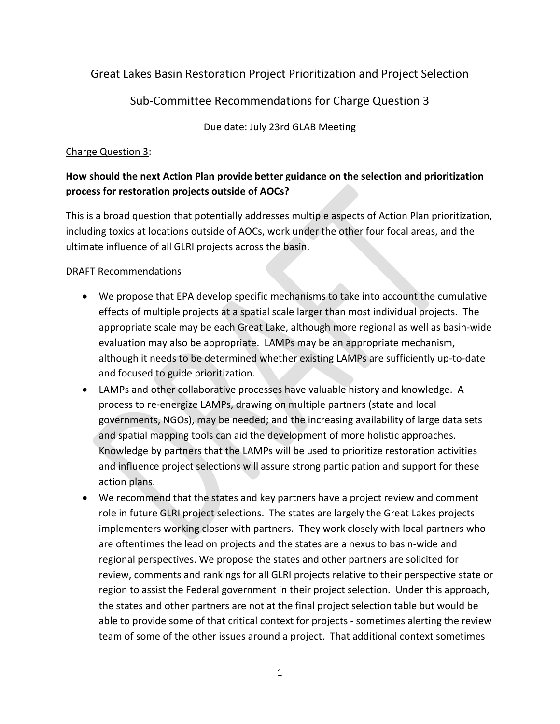## Great Lakes Basin Restoration Project Prioritization and Project Selection

## Sub-Committee Recommendations for Charge Question 3

Due date: July 23rd GLAB Meeting

## Charge Question 3:

## **How should the next Action Plan provide better guidance on the selection and prioritization process for restoration projects outside of AOCs?**

This is a broad question that potentially addresses multiple aspects of Action Plan prioritization, including toxics at locations outside of AOCs, work under the other four focal areas, and the ultimate influence of all GLRI projects across the basin.

DRAFT Recommendations

- We propose that EPA develop specific mechanisms to take into account the cumulative effects of multiple projects at a spatial scale larger than most individual projects. The appropriate scale may be each Great Lake, although more regional as well as basin-wide evaluation may also be appropriate. LAMPs may be an appropriate mechanism, although it needs to be determined whether existing LAMPs are sufficiently up-to-date and focused to guide prioritization.
- LAMPs and other collaborative processes have valuable history and knowledge. A process to re-energize LAMPs, drawing on multiple partners (state and local governments, NGOs), may be needed; and the increasing availability of large data sets and spatial mapping tools can aid the development of more holistic approaches. Knowledge by partners that the LAMPs will be used to prioritize restoration activities and influence project selections will assure strong participation and support for these action plans.
- We recommend that the states and key partners have a project review and comment role in future GLRI project selections. The states are largely the Great Lakes projects implementers working closer with partners. They work closely with local partners who are oftentimes the lead on projects and the states are a nexus to basin-wide and regional perspectives. We propose the states and other partners are solicited for review, comments and rankings for all GLRI projects relative to their perspective state or region to assist the Federal government in their project selection. Under this approach, the states and other partners are not at the final project selection table but would be able to provide some of that critical context for projects - sometimes alerting the review team of some of the other issues around a project. That additional context sometimes